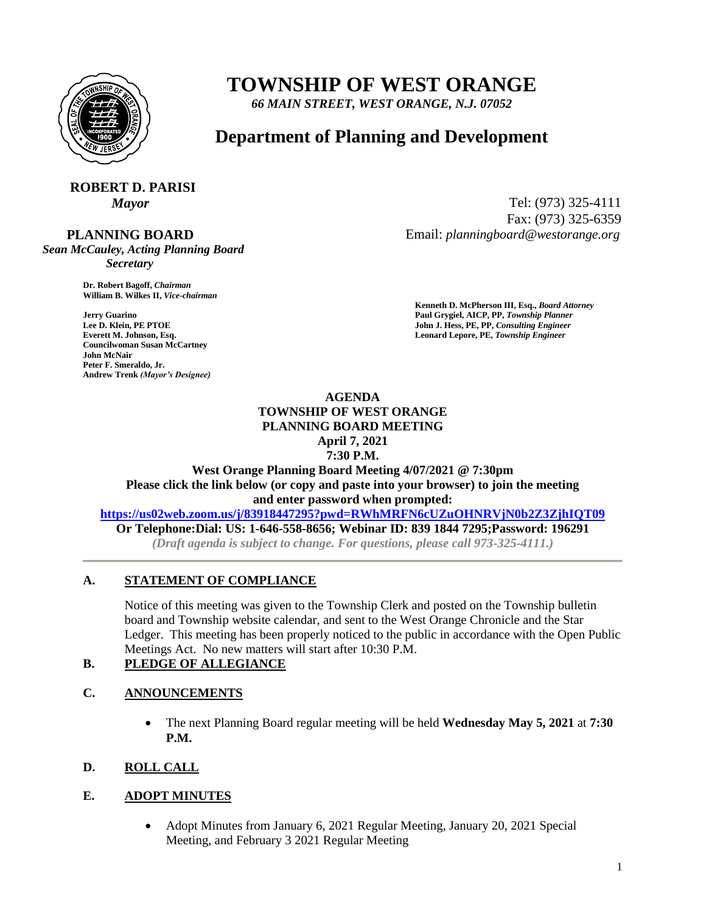

# **TOWNSHIP OF WEST ORANGE**

*66 MAIN STREET, WEST ORANGE, N.J. 07052*

## **Department of Planning and Development**

## **ROBERT D. PARISI**

#### **PLANNING BOARD**

*Sean McCauley, Acting Planning Board Secretary*

> **Dr. Robert Bagoff,** *Chairman*  **William B. Wilkes II,** *Vice-chairman*

**Councilwoman Susan McCartney John McNair Peter F. Smeraldo, Jr. Andrew Trenk** *(Mayor's Designee)*

*Mayor* Tel: (973) 325-4111 Fax: (973) 325-6359 Email: *planningboard@westorange.org*

**Kenneth D. McPherson III, Esq.,** *Board Attorney*  **Jerry Guarino Paul Grygiel, AICP, PP,** *Township Planner*  **Lee D. Klein, PE PTOE** John J. Hess, PE, PP, *Consulting Engineer* John J. Hess, PE, PP, *Consulting Engineer* **Everett M. Johnson, Esq.** Leonard Lepore, PE, Township Engineer

### **AGENDA TOWNSHIP OF WEST ORANGE PLANNING BOARD MEETING April 7, 2021**

**7:30 P.M.**

**West Orange Planning Board Meeting 4/07/2021 @ 7:30pm Please click the link below (or copy and paste into your browser) to join the meeting and enter password when prompted:**

**<https://us02web.zoom.us/j/83918447295?pwd=RWhMRFN6cUZuOHNRVjN0b2Z3ZjhIQT09>**

**Or Telephone:Dial: US: 1-646-558-8656; Webinar ID: 839 1844 7295;Password: 196291** *(Draft agenda is subject to change. For questions, please call 973-325-4111.)*

#### **A. STATEMENT OF COMPLIANCE**

Notice of this meeting was given to the Township Clerk and posted on the Township bulletin board and Township website calendar, and sent to the West Orange Chronicle and the Star Ledger. This meeting has been properly noticed to the public in accordance with the Open Public Meetings Act. No new matters will start after 10:30 P.M.

#### **B. PLEDGE OF ALLEGIANCE**

#### **C. ANNOUNCEMENTS**

 The next Planning Board regular meeting will be held **Wednesday May 5, 2021** at **7:30 P.M.**

#### **D. ROLL CALL**

#### **E. ADOPT MINUTES**

 Adopt Minutes from January 6, 2021 Regular Meeting, January 20, 2021 Special Meeting, and February 3 2021 Regular Meeting